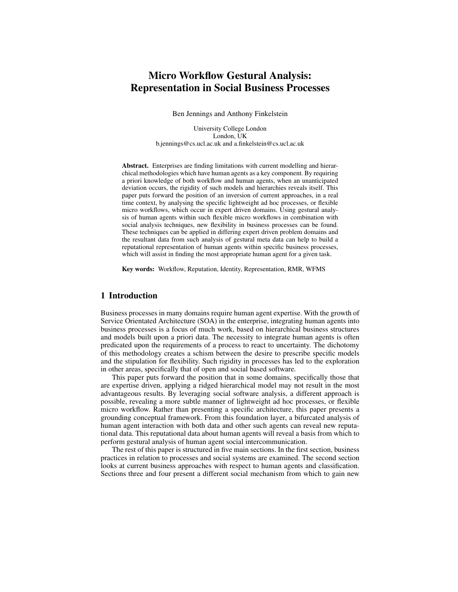# Micro Workflow Gestural Analysis: Representation in Social Business Processes

Ben Jennings and Anthony Finkelstein

University College London London, UK b.jennings@cs.ucl.ac.uk and a.finkelstein@cs.ucl.ac.uk

Abstract. Enterprises are finding limitations with current modelling and hierarchical methodologies which have human agents as a key component. By requiring a priori knowledge of both workflow and human agents, when an unanticipated deviation occurs, the rigidity of such models and hierarchies reveals itself. This paper puts forward the position of an inversion of current approaches, in a real time context, by analysing the specific lightweight ad hoc processes, or flexible micro workflows, which occur in expert driven domains. Using gestural analysis of human agents within such flexible micro workflows in combination with social analysis techniques, new flexibility in business processes can be found. These techniques can be applied in differing expert driven problem domains and the resultant data from such analysis of gestural meta data can help to build a reputational representation of human agents within specific business processes, which will assist in finding the most appropriate human agent for a given task.

Key words: Workflow, Reputation, Identity, Representation, RMR, WFMS

### 1 Introduction

Business processes in many domains require human agent expertise. With the growth of Service Orientated Architecture (SOA) in the enterprise, integrating human agents into business processes is a focus of much work, based on hierarchical business structures and models built upon a priori data. The necessity to integrate human agents is often predicated upon the requirements of a process to react to uncertainty. The dichotomy of this methodology creates a schism between the desire to prescribe specific models and the stipulation for flexibility. Such rigidity in processes has led to the exploration in other areas, specifically that of open and social based software.

This paper puts forward the position that in some domains, specifically those that are expertise driven, applying a ridged hierarchical model may not result in the most advantageous results. By leveraging social software analysis, a different approach is possible, revealing a more subtle manner of lightweight ad hoc processes, or flexible micro workflow. Rather than presenting a specific architecture, this paper presents a grounding conceptual framework. From this foundation layer, a bifurcated analysis of human agent interaction with both data and other such agents can reveal new reputational data. This reputational data about human agents will reveal a basis from which to perform gestural analysis of human agent social intercommunication.

The rest of this paper is structured in five main sections. In the first section, business practices in relation to processes and social systems are examined. The second section looks at current business approaches with respect to human agents and classification. Sections three and four present a different social mechanism from which to gain new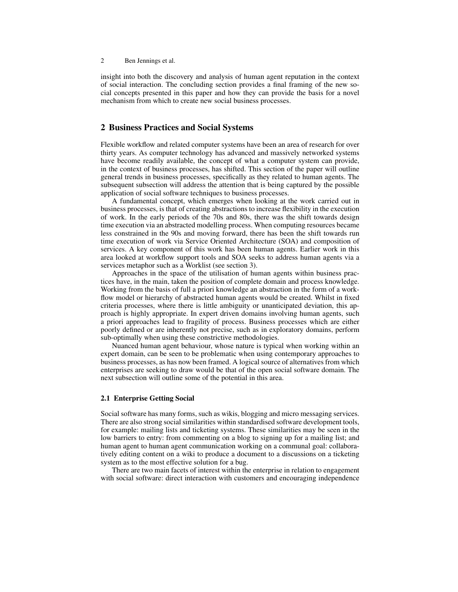2 Ben Jennings et al.

insight into both the discovery and analysis of human agent reputation in the context of social interaction. The concluding section provides a final framing of the new social concepts presented in this paper and how they can provide the basis for a novel mechanism from which to create new social business processes.

### 2 Business Practices and Social Systems

Flexible workflow and related computer systems have been an area of research for over thirty years. As computer technology has advanced and massively networked systems have become readily available, the concept of what a computer system can provide, in the context of business processes, has shifted. This section of the paper will outline general trends in business processes, specifically as they related to human agents. The subsequent subsection will address the attention that is being captured by the possible application of social software techniques to business processes.

A fundamental concept, which emerges when looking at the work carried out in business processes, is that of creating abstractions to increase flexibility in the execution of work. In the early periods of the 70s and 80s, there was the shift towards design time execution via an abstracted modelling process. When computing resources became less constrained in the 90s and moving forward, there has been the shift towards run time execution of work via Service Oriented Architecture (SOA) and composition of services. A key component of this work has been human agents. Earlier work in this area looked at workflow support tools and SOA seeks to address human agents via a services metaphor such as a Worklist (see section 3).

Approaches in the space of the utilisation of human agents within business practices have, in the main, taken the position of complete domain and process knowledge. Working from the basis of full a priori knowledge an abstraction in the form of a workflow model or hierarchy of abstracted human agents would be created. Whilst in fixed criteria processes, where there is little ambiguity or unanticipated deviation, this approach is highly appropriate. In expert driven domains involving human agents, such a priori approaches lead to fragility of process. Business processes which are either poorly defined or are inherently not precise, such as in exploratory domains, perform sub-optimally when using these constrictive methodologies.

Nuanced human agent behaviour, whose nature is typical when working within an expert domain, can be seen to be problematic when using contemporary approaches to business processes, as has now been framed. A logical source of alternatives from which enterprises are seeking to draw would be that of the open social software domain. The next subsection will outline some of the potential in this area.

### 2.1 Enterprise Getting Social

Social software has many forms, such as wikis, blogging and micro messaging services. There are also strong social similarities within standardised software development tools, for example: mailing lists and ticketing systems. These similarities may be seen in the low barriers to entry: from commenting on a blog to signing up for a mailing list; and human agent to human agent communication working on a communal goal: collaboratively editing content on a wiki to produce a document to a discussions on a ticketing system as to the most effective solution for a bug.

There are two main facets of interest within the enterprise in relation to engagement with social software: direct interaction with customers and encouraging independence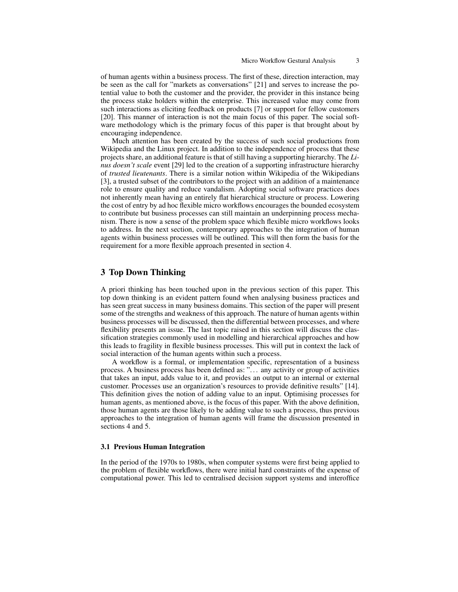of human agents within a business process. The first of these, direction interaction, may be seen as the call for "markets as conversations" [21] and serves to increase the potential value to both the customer and the provider, the provider in this instance being the process stake holders within the enterprise. This increased value may come from such interactions as eliciting feedback on products [7] or support for fellow customers [20]. This manner of interaction is not the main focus of this paper. The social software methodology which is the primary focus of this paper is that brought about by encouraging independence.

Much attention has been created by the success of such social productions from Wikipedia and the Linux project. In addition to the independence of process that these projects share, an additional feature is that of still having a supporting hierarchy. The *Linus doesn't scale* event [29] led to the creation of a supporting infrastructure hierarchy of *trusted lieutenants*. There is a similar notion within Wikipedia of the Wikipedians [3], a trusted subset of the contributors to the project with an addition of a maintenance role to ensure quality and reduce vandalism. Adopting social software practices does not inherently mean having an entirely flat hierarchical structure or process. Lowering the cost of entry by ad hoc flexible micro workflows encourages the bounded ecosystem to contribute but business processes can still maintain an underpinning process mechanism. There is now a sense of the problem space which flexible micro workflows looks to address. In the next section, contemporary approaches to the integration of human agents within business processes will be outlined. This will then form the basis for the requirement for a more flexible approach presented in section 4.

### 3 Top Down Thinking

A priori thinking has been touched upon in the previous section of this paper. This top down thinking is an evident pattern found when analysing business practices and has seen great success in many business domains. This section of the paper will present some of the strengths and weakness of this approach. The nature of human agents within business processes will be discussed, then the differential between processes, and where flexibility presents an issue. The last topic raised in this section will discuss the classification strategies commonly used in modelling and hierarchical approaches and how this leads to fragility in flexible business processes. This will put in context the lack of social interaction of the human agents within such a process.

A workflow is a formal, or implementation specific, representation of a business process. A business process has been defined as: "... any activity or group of activities that takes an input, adds value to it, and provides an output to an internal or external customer. Processes use an organization's resources to provide definitive results" [14]. This definition gives the notion of adding value to an input. Optimising processes for human agents, as mentioned above, is the focus of this paper. With the above definition, those human agents are those likely to be adding value to such a process, thus previous approaches to the integration of human agents will frame the discussion presented in sections 4 and 5.

#### 3.1 Previous Human Integration

In the period of the 1970s to 1980s, when computer systems were first being applied to the problem of flexible workflows, there were initial hard constraints of the expense of computational power. This led to centralised decision support systems and interoffice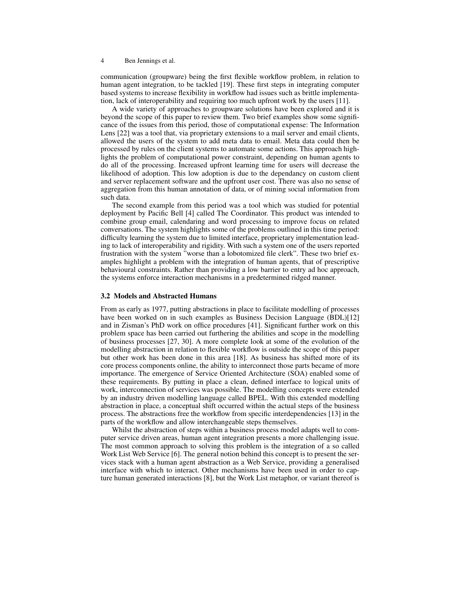#### 4 Ben Jennings et al.

communication (groupware) being the first flexible workflow problem, in relation to human agent integration, to be tackled [19]. These first steps in integrating computer based systems to increase flexibility in workflow had issues such as brittle implementation, lack of interoperability and requiring too much upfront work by the users [11].

A wide variety of approaches to groupware solutions have been explored and it is beyond the scope of this paper to review them. Two brief examples show some significance of the issues from this period, those of computational expense: The Information Lens [22] was a tool that, via proprietary extensions to a mail server and email clients, allowed the users of the system to add meta data to email. Meta data could then be processed by rules on the client systems to automate some actions. This approach highlights the problem of computational power constraint, depending on human agents to do all of the processing. Increased upfront learning time for users will decrease the likelihood of adoption. This low adoption is due to the dependancy on custom client and server replacement software and the upfront user cost. There was also no sense of aggregation from this human annotation of data, or of mining social information from such data.

The second example from this period was a tool which was studied for potential deployment by Pacific Bell [4] called The Coordinator. This product was intended to combine group email, calendaring and word processing to improve focus on related conversations. The system highlights some of the problems outlined in this time period: difficulty learning the system due to limited interface, proprietary implementation leading to lack of interoperability and rigidity. With such a system one of the users reported frustration with the system "worse than a lobotomized file clerk". These two brief examples highlight a problem with the integration of human agents, that of prescriptive behavioural constraints. Rather than providing a low barrier to entry ad hoc approach, the systems enforce interaction mechanisms in a predetermined ridged manner.

#### 3.2 Models and Abstracted Humans

From as early as 1977, putting abstractions in place to facilitate modelling of processes have been worked on in such examples as Business Decision Language (BDL)[12] and in Zisman's PhD work on office procedures [41]. Significant further work on this problem space has been carried out furthering the abilities and scope in the modelling of business processes [27, 30]. A more complete look at some of the evolution of the modelling abstraction in relation to flexible workflow is outside the scope of this paper but other work has been done in this area [18]. As business has shifted more of its core process components online, the ability to interconnect those parts became of more importance. The emergence of Service Oriented Architecture (SOA) enabled some of these requirements. By putting in place a clean, defined interface to logical units of work, interconnection of services was possible. The modelling concepts were extended by an industry driven modelling language called BPEL. With this extended modelling abstraction in place, a conceptual shift occurred within the actual steps of the business process. The abstractions free the workflow from specific interdependencies [13] in the parts of the workflow and allow interchangeable steps themselves.

Whilst the abstraction of steps within a business process model adapts well to computer service driven areas, human agent integration presents a more challenging issue. The most common approach to solving this problem is the integration of a so called Work List Web Service [6]. The general notion behind this concept is to present the services stack with a human agent abstraction as a Web Service, providing a generalised interface with which to interact. Other mechanisms have been used in order to capture human generated interactions [8], but the Work List metaphor, or variant thereof is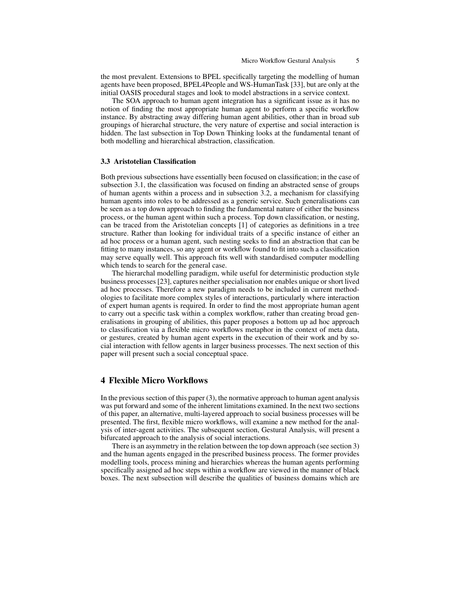the most prevalent. Extensions to BPEL specifically targeting the modelling of human agents have been proposed, BPEL4People and WS-HumanTask [33], but are only at the initial OASIS procedural stages and look to model abstractions in a service context.

The SOA approach to human agent integration has a significant issue as it has no notion of finding the most appropriate human agent to perform a specific workflow instance. By abstracting away differing human agent abilities, other than in broad sub groupings of hierarchal structure, the very nature of expertise and social interaction is hidden. The last subsection in Top Down Thinking looks at the fundamental tenant of both modelling and hierarchical abstraction, classification.

### 3.3 Aristotelian Classification

Both previous subsections have essentially been focused on classification; in the case of subsection 3.1, the classification was focused on finding an abstracted sense of groups of human agents within a process and in subsection 3.2, a mechanism for classifying human agents into roles to be addressed as a generic service. Such generalisations can be seen as a top down approach to finding the fundamental nature of either the business process, or the human agent within such a process. Top down classification, or nesting, can be traced from the Aristotelian concepts [1] of categories as definitions in a tree structure. Rather than looking for individual traits of a specific instance of either an ad hoc process or a human agent, such nesting seeks to find an abstraction that can be fitting to many instances, so any agent or workflow found to fit into such a classification may serve equally well. This approach fits well with standardised computer modelling which tends to search for the general case.

The hierarchal modelling paradigm, while useful for deterministic production style business processes [23], captures neither specialisation nor enables unique or short lived ad hoc processes. Therefore a new paradigm needs to be included in current methodologies to facilitate more complex styles of interactions, particularly where interaction of expert human agents is required. In order to find the most appropriate human agent to carry out a specific task within a complex workflow, rather than creating broad generalisations in grouping of abilities, this paper proposes a bottom up ad hoc approach to classification via a flexible micro workflows metaphor in the context of meta data, or gestures, created by human agent experts in the execution of their work and by social interaction with fellow agents in larger business processes. The next section of this paper will present such a social conceptual space.

### 4 Flexible Micro Workflows

In the previous section of this paper  $(3)$ , the normative approach to human agent analysis was put forward and some of the inherent limitations examined. In the next two sections of this paper, an alternative, multi-layered approach to social business processes will be presented. The first, flexible micro workflows, will examine a new method for the analysis of inter-agent activities. The subsequent section, Gestural Analysis, will present a bifurcated approach to the analysis of social interactions.

There is an asymmetry in the relation between the top down approach (see section 3) and the human agents engaged in the prescribed business process. The former provides modelling tools, process mining and hierarchies whereas the human agents performing specifically assigned ad hoc steps within a workflow are viewed in the manner of black boxes. The next subsection will describe the qualities of business domains which are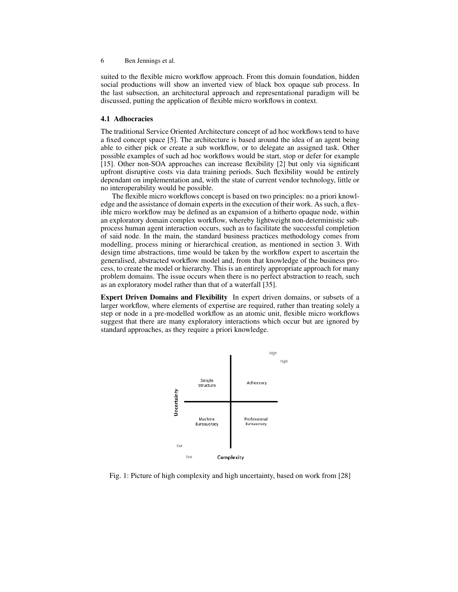suited to the flexible micro workflow approach. From this domain foundation, hidden social productions will show an inverted view of black box opaque sub process. In the last subsection, an architectural approach and representational paradigm will be discussed, putting the application of flexible micro workflows in context.

### 4.1 Adhocracies

The traditional Service Oriented Architecture concept of ad hoc workflows tend to have a fixed concept space [5]. The architecture is based around the idea of an agent being able to either pick or create a sub workflow, or to delegate an assigned task. Other possible examples of such ad hoc workflows would be start, stop or defer for example [15]. Other non-SOA approaches can increase flexibility [2] but only via significant upfront disruptive costs via data training periods. Such flexibility would be entirely dependant on implementation and, with the state of current vendor technology, little or no interoperability would be possible.

The flexible micro workflows concept is based on two principles: no a priori knowledge and the assistance of domain experts in the execution of their work. As such, a flexible micro workflow may be defined as an expansion of a hitherto opaque node, within an exploratory domain complex workflow, whereby lightweight non-deterministic subprocess human agent interaction occurs, such as to facilitate the successful completion of said node. In the main, the standard business practices methodology comes from modelling, process mining or hierarchical creation, as mentioned in section 3. With design time abstractions, time would be taken by the workflow expert to ascertain the generalised, abstracted workflow model and, from that knowledge of the business process, to create the model or hierarchy. This is an entirely appropriate approach for many problem domains. The issue occurs when there is no perfect abstraction to reach, such as an exploratory model rather than that of a waterfall [35].

Expert Driven Domains and Flexibility In expert driven domains, or subsets of a larger workflow, where elements of expertise are required, rather than treating solely a step or node in a pre-modelled workflow as an atomic unit, flexible micro workflows suggest that there are many exploratory interactions which occur but are ignored by standard approaches, as they require a priori knowledge.



Fig. 1: Picture of high complexity and high uncertainty, based on work from [28]

<sup>6</sup> Ben Jennings et al.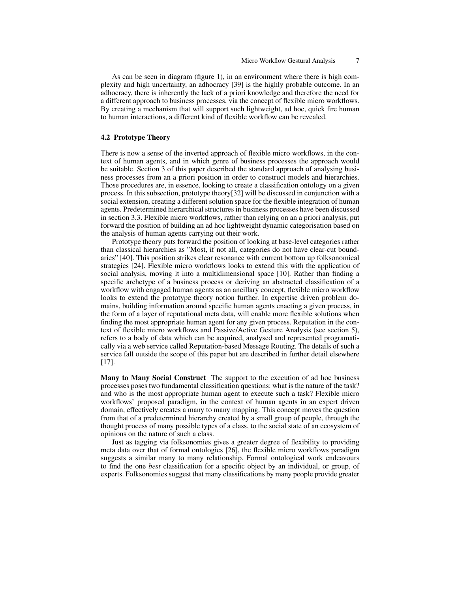As can be seen in diagram (figure 1), in an environment where there is high complexity and high uncertainty, an adhocracy [39] is the highly probable outcome. In an adhocracy, there is inherently the lack of a priori knowledge and therefore the need for a different approach to business processes, via the concept of flexible micro workflows. By creating a mechanism that will support such lightweight, ad hoc, quick fire human to human interactions, a different kind of flexible workflow can be revealed.

#### 4.2 Prototype Theory

There is now a sense of the inverted approach of flexible micro workflows, in the context of human agents, and in which genre of business processes the approach would be suitable. Section 3 of this paper described the standard approach of analysing business processes from an a priori position in order to construct models and hierarchies. Those procedures are, in essence, looking to create a classification ontology on a given process. In this subsection, prototype theory[32] will be discussed in conjunction with a social extension, creating a different solution space for the flexible integration of human agents. Predetermined hierarchical structures in business processes have been discussed in section 3.3. Flexible micro workflows, rather than relying on an a priori analysis, put forward the position of building an ad hoc lightweight dynamic categorisation based on the analysis of human agents carrying out their work.

Prototype theory puts forward the position of looking at base-level categories rather than classical hierarchies as "Most, if not all, categories do not have clear-cut boundaries" [40]. This position strikes clear resonance with current bottom up folksonomical strategies [24]. Flexible micro workflows looks to extend this with the application of social analysis, moving it into a multidimensional space [10]. Rather than finding a specific archetype of a business process or deriving an abstracted classification of a workflow with engaged human agents as an ancillary concept, flexible micro workflow looks to extend the prototype theory notion further. In expertise driven problem domains, building information around specific human agents enacting a given process, in the form of a layer of reputational meta data, will enable more flexible solutions when finding the most appropriate human agent for any given process. Reputation in the context of flexible micro workflows and Passive/Active Gesture Analysis (see section 5), refers to a body of data which can be acquired, analysed and represented programatically via a web service called Reputation-based Message Routing. The details of such a service fall outside the scope of this paper but are described in further detail elsewhere [17].

Many to Many Social Construct The support to the execution of ad hoc business processes poses two fundamental classification questions: what is the nature of the task? and who is the most appropriate human agent to execute such a task? Flexible micro workflows' proposed paradigm, in the context of human agents in an expert driven domain, effectively creates a many to many mapping. This concept moves the question from that of a predetermined hierarchy created by a small group of people, through the thought process of many possible types of a class, to the social state of an ecosystem of opinions on the nature of such a class.

Just as tagging via folksonomies gives a greater degree of flexibility to providing meta data over that of formal ontologies [26], the flexible micro workflows paradigm suggests a similar many to many relationship. Formal ontological work endeavours to find the one *best* classification for a specific object by an individual, or group, of experts. Folksonomies suggest that many classifications by many people provide greater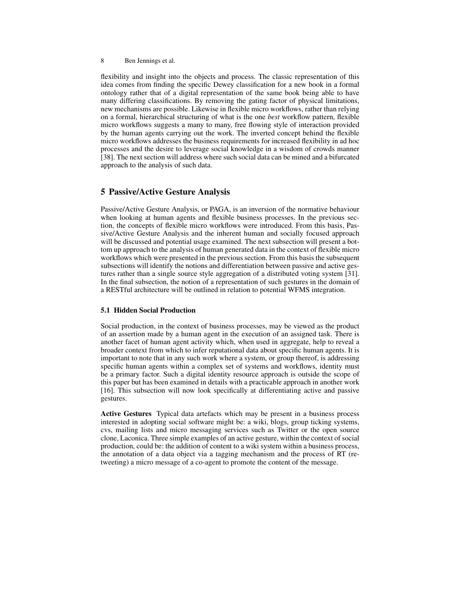flexibility and insight into the objects and process. The classic representation of this idea comes from finding the specific Dewey classification for a new book in a formal ontology rather that of a digital representation of the same book being able to have many differing classifications. By removing the gating factor of physical limitations, new mechanisms are possible. Likewise in flexible micro workflows, rather than relying on a formal, hierarchical structuring of what is the one *best* workflow pattern, flexible micro workflows suggests a many to many, free flowing style of interaction provided by the human agents carrying out the work. The inverted concept behind the flexible micro workflows addresses the business requirements for increased flexibility in ad hoc processes and the desire to leverage social knowledge in a wisdom of crowds manner [38]. The next section will address where such social data can be mined and a bifurcated approach to the analysis of such data.

### 5 Passive/Active Gesture Analysis

Passive/Active Gesture Analysis, or PAGA, is an inversion of the normative behaviour when looking at human agents and flexible business processes. In the previous section, the concepts of flexible micro workflows were introduced. From this basis, Passive/Active Gesture Analysis and the inherent human and socially focused approach will be discussed and potential usage examined. The next subsection will present a bottom up approach to the analysis of human generated data in the context of flexible micro workflows which were presented in the previous section. From this basis the subsequent subsections will identify the notions and differentiation between passive and active gestures rather than a single source style aggregation of a distributed voting system [31]. In the final subsection, the notion of a representation of such gestures in the domain of a RESTful architecture will be outlined in relation to potential WFMS integration.

### 5.1 Hidden Social Production

Social production, in the context of business processes, may be viewed as the product of an assertion made by a human agent in the execution of an assigned task. There is another facet of human agent activity which, when used in aggregate, help to reveal a broader context from which to infer reputational data about specific human agents. It is important to note that in any such work where a system, or group thereof, is addressing specific human agents within a complex set of systems and workflows, identity must be a primary factor. Such a digital identity resource approach is outside the scope of this paper but has been examined in details with a practicable approach in another work [16]. This subsection will now look specifically at differentiating active and passive gestures.

Active Gestures Typical data artefacts which may be present in a business process interested in adopting social software might be: a wiki, blogs, group ticking systems, cvs, mailing lists and micro messaging services such as Twitter or the open source clone, Laconica. Three simple examples of an active gesture, within the context of social production, could be: the addition of content to a wiki system within a business process, the annotation of a data object via a tagging mechanism and the process of RT (retweeting) a micro message of a co-agent to promote the content of the message.

<sup>8</sup> Ben Jennings et al.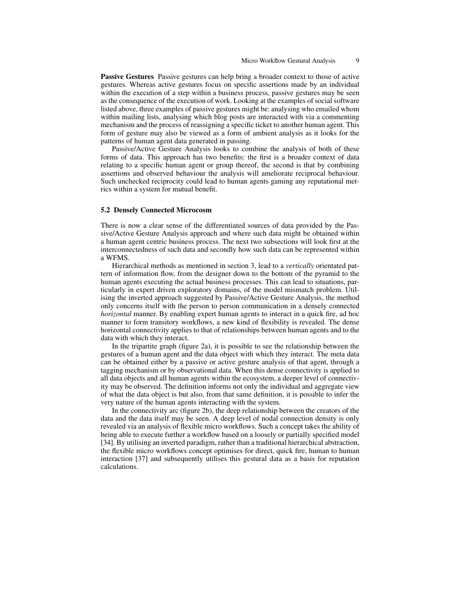Passive Gestures Passive gestures can help bring a broader context to those of active gestures. Whereas active gestures focus on specific assertions made by an individual within the execution of a step within a business process, passive gestures may be seen as the consequence of the execution of work. Looking at the examples of social software listed above, three examples of passive gestures might be: analysing who emailed whom within mailing lists, analysing which blog posts are interacted with via a commenting mechanism and the process of reassigning a specific ticket to another human agent. This form of gesture may also be viewed as a form of ambient analysis as it looks for the patterns of human agent data generated in passing.

Passive/Active Gesture Analysis looks to combine the analysis of both of these forms of data. This approach has two benefits: the first is a broader context of data relating to a specific human agent or group thereof, the second is that by combining assertions and observed behaviour the analysis will ameliorate reciprocal behaviour. Such unchecked reciprocity could lead to human agents gaming any reputational metrics within a system for mutual benefit.

### 5.2 Densely Connected Microcosm

There is now a clear sense of the differentiated sources of data provided by the Passive/Active Gesture Analysis approach and where such data might be obtained within a human agent centric business process. The next two subsections will look first at the interconnectedness of such data and secondly how such data can be represented within a WFMS.

Hierarchical methods as mentioned in section 3, lead to a *vertically* orientated pattern of information flow, from the designer down to the bottom of the pyramid to the human agents executing the actual business processes. This can lead to situations, particularly in expert driven exploratory domains, of the model mismatch problem. Utilising the inverted approach suggested by Passive/Active Gesture Analysis, the method only concerns itself with the person to person communication in a densely connected *horizontal* manner. By enabling expert human agents to interact in a quick fire, ad hoc manner to form transitory workflows, a new kind of flexibility is revealed. The dense horizontal connectivity applies to that of relationships between human agents and to the data with which they interact.

In the tripartite graph (figure 2a), it is possible to see the relationship between the gestures of a human agent and the data object with which they interact. The meta data can be obtained either by a passive or active gesture analysis of that agent, through a tagging mechanism or by observational data. When this dense connectivity is applied to all data objects and all human agents within the ecosystem, a deeper level of connectivity may be observed. The definition informs not only the individual and aggregate view of what the data object is but also, from that same definition, it is possible to infer the very nature of the human agents interacting with the system.

In the connectivity arc (figure 2b), the deep relationship between the creators of the data and the data itself may be seen. A deep level of nodal connection density is only revealed via an analysis of flexible micro workflows. Such a concept takes the ability of being able to execute further a workflow based on a loosely or partially specified model [34]. By utilising an inverted paradigm, rather than a traditional hierarchical abstraction, the flexible micro workflows concept optimises for direct, quick fire, human to human interaction [37] and subsequently utilises this gestural data as a basis for reputation calculations.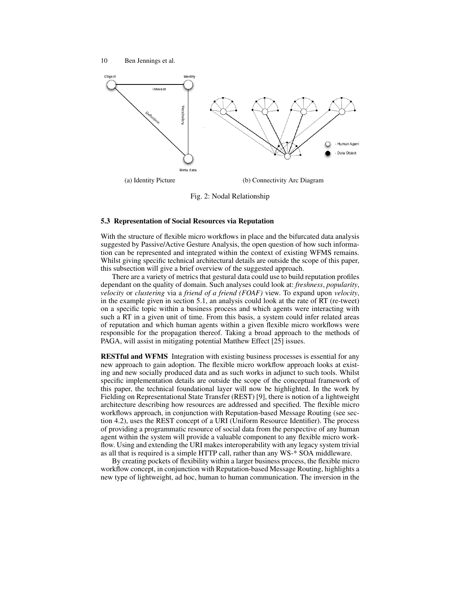10 Ben Jennings et al.



Fig. 2: Nodal Relationship

#### 5.3 Representation of Social Resources via Reputation

With the structure of flexible micro workflows in place and the bifurcated data analysis suggested by Passive/Active Gesture Analysis, the open question of how such information can be represented and integrated within the context of existing WFMS remains. Whilst giving specific technical architectural details are outside the scope of this paper, this subsection will give a brief overview of the suggested approach.

There are a variety of metrics that gestural data could use to build reputation profiles dependant on the quality of domain. Such analyses could look at: *freshness*, *popularity*, *velocity* or *clustering* via a *friend of a friend (FOAF)* view. To expand upon *velocity*, in the example given in section 5.1, an analysis could look at the rate of RT (re-tweet) on a specific topic within a business process and which agents were interacting with such a RT in a given unit of time. From this basis, a system could infer related areas of reputation and which human agents within a given flexible micro workflows were responsible for the propagation thereof. Taking a broad approach to the methods of PAGA, will assist in mitigating potential Matthew Effect [25] issues.

RESTful and WFMS Integration with existing business processes is essential for any new approach to gain adoption. The flexible micro workflow approach looks at existing and new socially produced data and as such works in adjunct to such tools. Whilst specific implementation details are outside the scope of the conceptual framework of this paper, the technical foundational layer will now be highlighted. In the work by Fielding on Representational State Transfer (REST) [9], there is notion of a lightweight architecture describing how resources are addressed and specified. The flexible micro workflows approach, in conjunction with Reputation-based Message Routing (see section 4.2), uses the REST concept of a URI (Uniform Resource Identifier). The process of providing a programmatic resource of social data from the perspective of any human agent within the system will provide a valuable component to any flexible micro workflow. Using and extending the URI makes interoperability with any legacy system trivial as all that is required is a simple HTTP call, rather than any WS-\* SOA middleware.

By creating pockets of flexibility within a larger business process, the flexible micro workflow concept, in conjunction with Reputation-based Message Routing, highlights a new type of lightweight, ad hoc, human to human communication. The inversion in the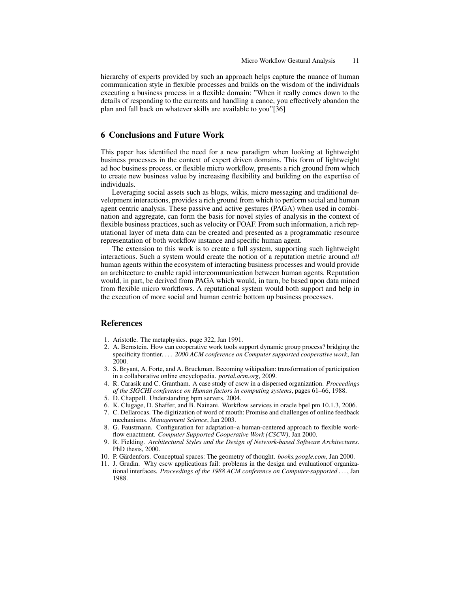hierarchy of experts provided by such an approach helps capture the nuance of human communication style in flexible processes and builds on the wisdom of the individuals executing a business process in a flexible domain: "When it really comes down to the details of responding to the currents and handling a canoe, you effectively abandon the plan and fall back on whatever skills are available to you"[36]

## 6 Conclusions and Future Work

This paper has identified the need for a new paradigm when looking at lightweight business processes in the context of expert driven domains. This form of lightweight ad hoc business process, or flexible micro workflow, presents a rich ground from which to create new business value by increasing flexibility and building on the expertise of individuals.

Leveraging social assets such as blogs, wikis, micro messaging and traditional development interactions, provides a rich ground from which to perform social and human agent centric analysis. These passive and active gestures (PAGA) when used in combination and aggregate, can form the basis for novel styles of analysis in the context of flexible business practices, such as velocity or FOAF. From such information, a rich reputational layer of meta data can be created and presented as a programmatic resource representation of both workflow instance and specific human agent.

The extension to this work is to create a full system, supporting such lightweight interactions. Such a system would create the notion of a reputation metric around *all* human agents within the ecosystem of interacting business processes and would provide an architecture to enable rapid intercommunication between human agents. Reputation would, in part, be derived from PAGA which would, in turn, be based upon data mined from flexible micro workflows. A reputational system would both support and help in the execution of more social and human centric bottom up business processes.

### References

- 1. Aristotle. The metaphysics. page 322, Jan 1991.
- 2. A. Bernstein. How can cooperative work tools support dynamic group process? bridging the specificity frontier. *. . . 2000 ACM conference on Computer supported cooperative work*, Jan 2000.
- 3. S. Bryant, A. Forte, and A. Bruckman. Becoming wikipedian: transformation of participation in a collaborative online encyclopedia. *portal.acm.org*, 2009.
- 4. R. Carasik and C. Grantham. A case study of cscw in a dispersed organization. *Proceedings of the SIGCHI conference on Human factors in computing systems*, pages 61–66, 1988.
- 5. D. Chappell. Understanding bpm servers, 2004.
- 6. K. Clugage, D. Shaffer, and B. Nainani. Workflow services in oracle bpel pm 10.1.3, 2006.
- 7. C. Dellarocas. The digitization of word of mouth: Promise and challenges of online feedback mechanisms. *Management Science*, Jan 2003.
- 8. G. Faustmann. Configuration for adaptation–a human-centered approach to flexible workflow enactment. *Computer Supported Cooperative Work (CSCW)*, Jan 2000.
- 9. R. Fielding. *Architectural Styles and the Design of Network-based Software Architectures*. PhD thesis, 2000.
- 10. P. Gärdenfors. Conceptual spaces: The geometry of thought. *books.google.com*, Jan 2000.
- 11. J. Grudin. Why cscw applications fail: problems in the design and evaluationof organizational interfaces. *Proceedings of the 1988 ACM conference on Computer-supported . . .* , Jan 1988.